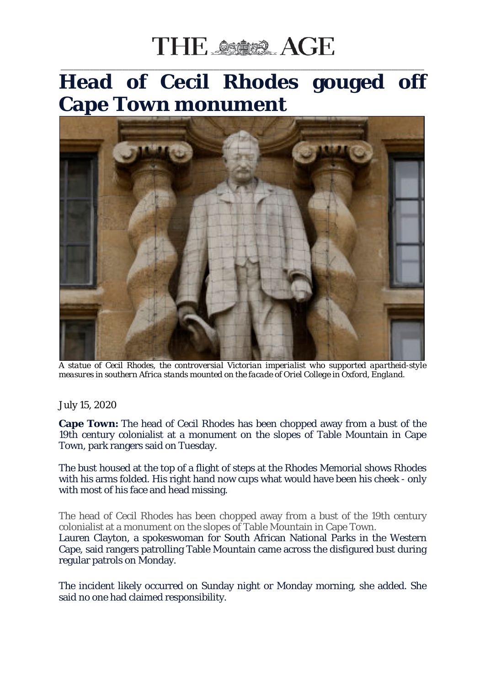## THE SSISS AGE

## \_\_\_\_\_\_\_\_\_\_\_\_\_\_\_\_\_\_\_\_\_\_\_\_\_\_\_\_\_\_\_\_\_\_\_\_\_\_\_\_\_\_\_\_\_\_\_\_\_\_\_\_\_\_\_\_\_\_\_\_\_\_\_\_\_\_\_\_\_\_\_\_\_\_\_\_\_\_\_\_\_\_\_\_\_\_\_\_\_\_\_\_\_\_\_\_\_\_\_\_\_\_\_\_\_\_\_\_\_\_\_\_ **Head of Cecil Rhodes gouged off Cape Town monument**



*A statue of Cecil Rhodes, the controversial Victorian imperialist who supported apartheid-style measures in southern Africa stands mounted on the facade of Oriel College in Oxford, England.*

## July 15, 2020

**Cape Town:** The head of Cecil Rhodes has been chopped away from a bust of the 19th century colonialist at a monument on the slopes of Table Mountain in Cape Town, park rangers said on Tuesday.

The bust housed at the top of a flight of steps at the Rhodes Memorial shows Rhodes with his arms folded. His right hand now cups what would have been his cheek - only with most of his face and head missing.

The head of Cecil Rhodes has been chopped away from a bust of the 19th century colonialist at a monument on the slopes of Table Mountain in Cape Town. Lauren Clayton, a spokeswoman for South African National Parks in the Western Cape, said rangers patrolling Table Mountain came across the disfigured bust during regular patrols on Monday.

The incident likely occurred on Sunday night or Monday morning, she added. She said no one had claimed responsibility.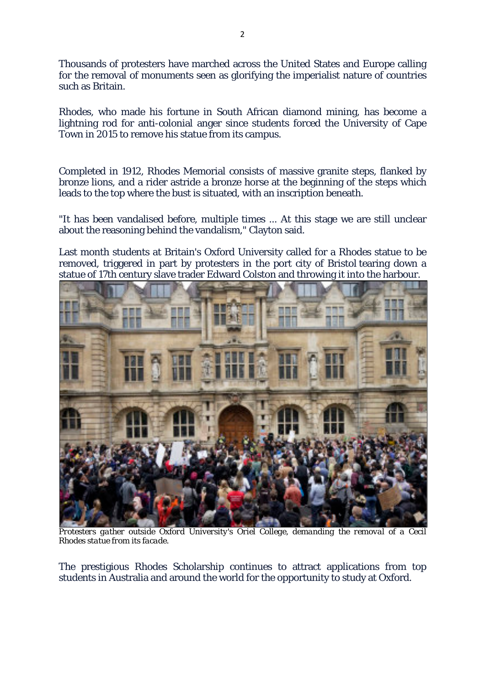Thousands of protesters have marched across the United States and Europe calling for the removal of monuments seen as glorifying the imperialist nature of countries such as Britain.

Rhodes, who made his fortune in South African diamond mining, has become a lightning rod for anti-colonial anger since students forced the University of Cape Town in 2015 to remove his statue from its campus.

Completed in 1912, Rhodes Memorial consists of massive granite steps, flanked by bronze lions, and a rider astride a bronze horse at the beginning of the steps which leads to the top where the bust is situated, with an inscription beneath.

"It has been vandalised before, multiple times ... At this stage we are still unclear about the reasoning behind the vandalism," Clayton said.

Last month students at Britain's Oxford University called for a Rhodes statue to be removed, triggered in part by protesters in the port city of Bristol tearing down a statue of 17th century slave trader Edward Colston and throwing it into the harbour.



*Protesters gather outside Oxford University's Oriel College, demanding the removal of a Cecil Rhodes statue from its facade.*

The prestigious Rhodes Scholarship continues to attract applications from top students in Australia and around the world for the opportunity to study at Oxford.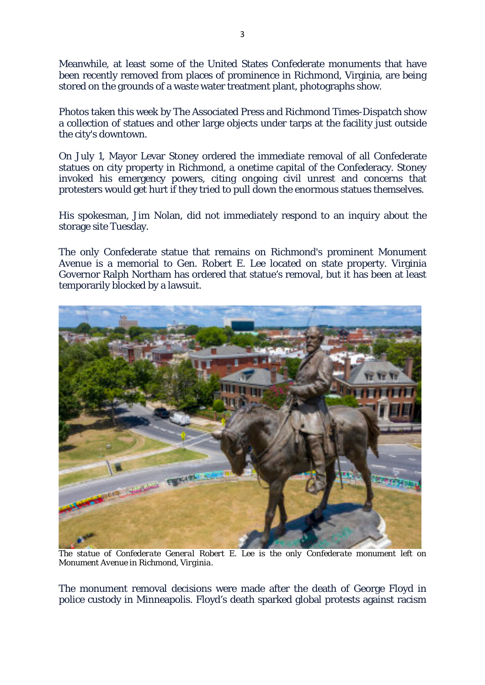Meanwhile, at least some of the United States Confederate monuments that have been recently removed from places of prominence in Richmond, Virginia, are being stored on the grounds of a waste water treatment plant, photographs show.

Photos taken this week by The Associated Press and *Richmond Times-Dispatch* show a collection of statues and other large objects under tarps at the facility just outside the city's downtown.

On July 1, Mayor Levar Stoney ordered the immediate removal of all Confederate statues on city property in Richmond, a onetime capital of the Confederacy. Stoney invoked his emergency powers, citing ongoing civil unrest and concerns that protesters would get hurt if they tried to pull down the enormous statues themselves.

His spokesman, Jim Nolan, did not immediately respond to an inquiry about the storage site Tuesday.

The only Confederate statue that remains on Richmond's prominent Monument Avenue is a memorial to Gen. Robert E. Lee located on state property. Virginia Governor Ralph Northam has ordered that statue's removal, but it has been at least temporarily blocked by a lawsuit.



*The statue of Confederate General Robert E. Lee is the only Confederate monument left on Monument Avenue in Richmond, Virginia.*

The monument removal decisions were made after the death of George Floyd in police custody in Minneapolis. Floyd's death sparked global protests against racism